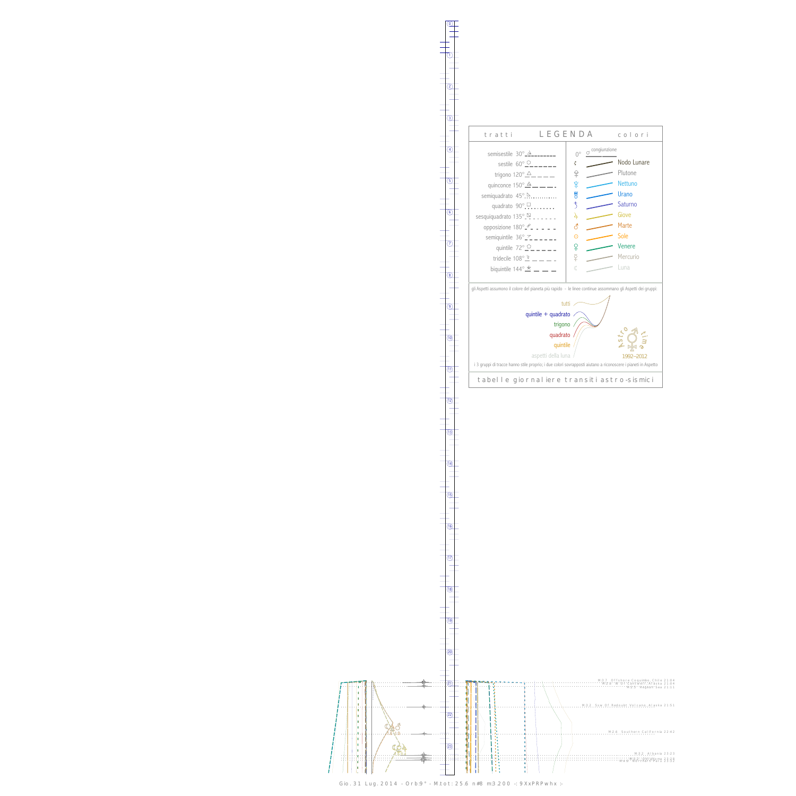0

1



13



Gio. 31 Lug. 2014 - Orb:9° - M.tot: 25.6 n#8 m:3.200 -: 9XxPRPwhx :-